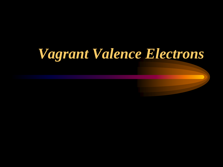## *Vagrant Valence Electrons*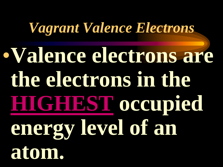## *Vagrant Valence Electrons*

# •**Valence electrons are the electrons in the HIGHEST occupied energy level of an atom.**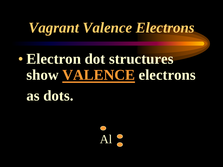### Vagrant Valence Electrons

# · Electron dot structures show VALENCE electrons

as dots.

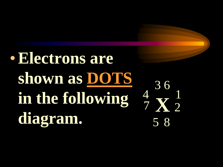#### •**Electrons are shown as DOTS in the following**  4 **diagram. X** 1 2 3 6 7 5 8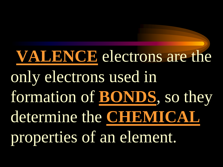**VALENCE** electrons are the only electrons used in formation of **BONDS**, so they determine the **CHEMICAL** properties of an element.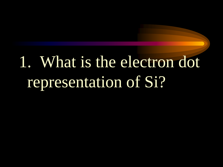# 1. What is the electron dot representation of Si?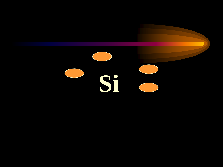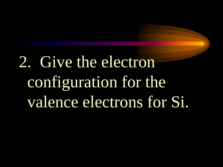2. Give the electron configuration for the valence electrons for Si.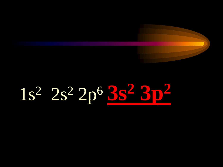

# 1s<sup>2</sup> 2s<sup>2</sup> 2p<sup>6</sup> 3s<sup>2</sup> 3p<sup>2</sup>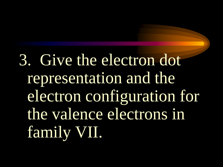3. Give the electron dot representation and the electron configuration for the valence electrons in family VII.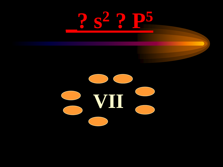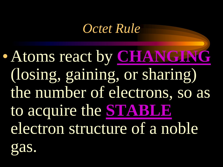#### *Octet Rule*

• Atoms react by **CHANGING** (losing, gaining, or sharing) the number of electrons, so as to acquire the **STABLE** electron structure of a noble

gas.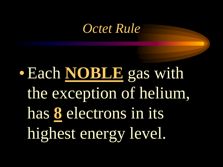#### *Octet Rule*

•Each **NOBLE** gas with the exception of helium, has **8** electrons in its highest energy level.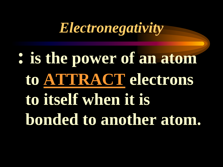*Electronegativity*

**: is the power of an atom to ATTRACT electrons to itself when it is bonded to another atom.**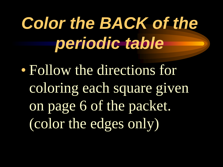# *Color the BACK of the periodic table*

• Follow the directions for coloring each square given on page 6 of the packet. (color the edges only)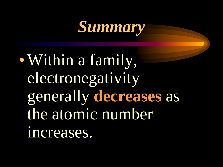

# •Within a family, electronegativity generally **decreases** as the atomic number increases.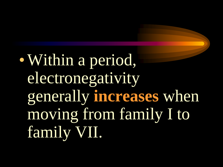•Within a period, electronegativity generally **increases** when moving from family I to family VII.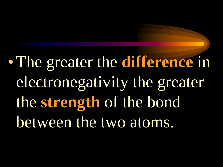•The greater the **difference** in electronegativity the greater the **strength** of the bond between the two atoms.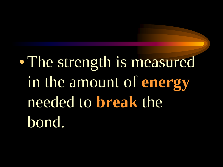•The strength is measured in the amount of **energy** needed to **break** the bond.